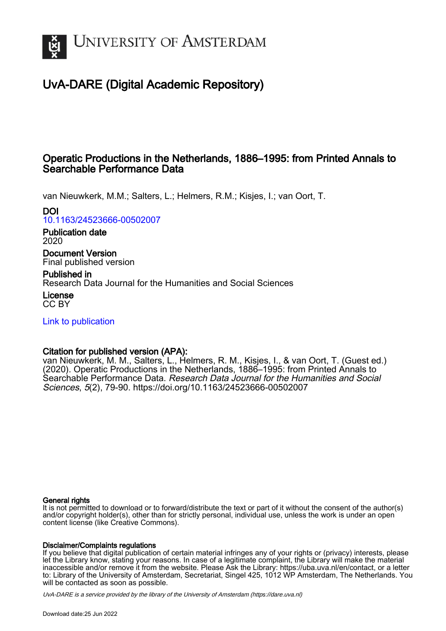

# UvA-DARE (Digital Academic Repository)

# Operatic Productions in the Netherlands, 1886–1995: from Printed Annals to Searchable Performance Data

van Nieuwkerk, M.M.; Salters, L.; Helmers, R.M.; Kisjes, I.; van Oort, T.

DOI

[10.1163/24523666-00502007](https://doi.org/10.1163/24523666-00502007)

Publication date 2020

Document Version Final published version

Published in Research Data Journal for the Humanities and Social Sciences

License CC BY

[Link to publication](https://dare.uva.nl/personal/pure/en/publications/operatic-productions-in-the-netherlands-18861995-from-printed-annals-to-searchable-performance-data(e8f6ed04-6c99-426a-89ea-7e0fe9e50f53).html)

## Citation for published version (APA):

van Nieuwkerk, M. M., Salters, L., Helmers, R. M., Kisjes, I., & van Oort, T. (Guest ed.) (2020). Operatic Productions in the Netherlands, 1886–1995: from Printed Annals to Searchable Performance Data. Research Data Journal for the Humanities and Social Sciences, 5(2), 79-90. <https://doi.org/10.1163/24523666-00502007>

### General rights

It is not permitted to download or to forward/distribute the text or part of it without the consent of the author(s) and/or copyright holder(s), other than for strictly personal, individual use, unless the work is under an open content license (like Creative Commons).

### Disclaimer/Complaints regulations

If you believe that digital publication of certain material infringes any of your rights or (privacy) interests, please let the Library know, stating your reasons. In case of a legitimate complaint, the Library will make the material inaccessible and/or remove it from the website. Please Ask the Library: https://uba.uva.nl/en/contact, or a letter to: Library of the University of Amsterdam, Secretariat, Singel 425, 1012 WP Amsterdam, The Netherlands. You will be contacted as soon as possible.

UvA-DARE is a service provided by the library of the University of Amsterdam (http*s*://dare.uva.nl)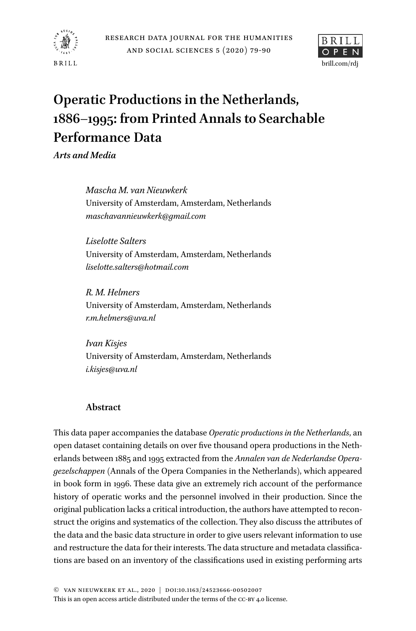



# **Operatic Productions in the Netherlands, 1886–1995: from Printed Annals to Searchable Performance Data**

*Arts and Media*

*Mascha M. van Nieuwkerk* University of Amsterdam, Amsterdam, Netherlands *maschavannieuwkerk@gmail.com*

*Liselotte Salters* University of Amsterdam, Amsterdam, Netherlands *liselotte.salters@hotmail.com*

*R. M. Helmers* University of Amsterdam, Amsterdam, Netherlands *r.m.helmers@uva.nl*

*Ivan Kisjes* University of Amsterdam, Amsterdam, Netherlands *i.kisjes@uva.nl*

## **Abstract**

This data paper accompanies the database *Operatic productions in the Netherlands*, an open dataset containing details on over five thousand opera productions in the Netherlands between 1885 and 1995 extracted from the *Annalen van de Nederlandse Operagezelschappen* (Annals of the Opera Companies in the Netherlands), which appeared in book form in 1996. These data give an extremely rich account of the performance history of operatic works and the personnel involved in their production. Since the original publication lacks a critical introduction, the authors have attempted to reconstruct the origins and systematics of the collection. They also discuss the attributes of the data and the basic data structure in order to give users relevant information to use and restructure the data for their interests. The data structure and metadata classifications are based on an inventory of the classifications used in existing performing arts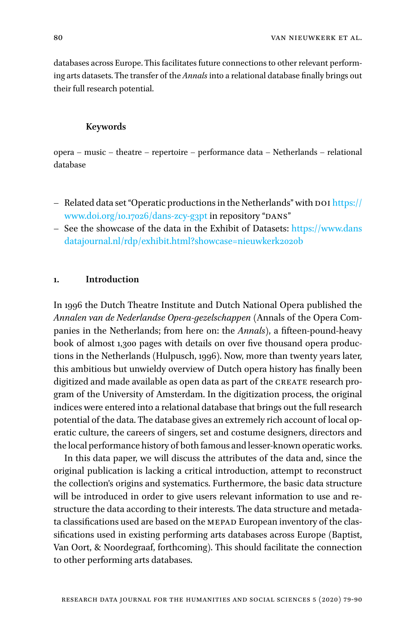databases across Europe. This facilitates future connections to other relevant performing arts datasets. The transfer of the *Annals* into a relational database finally brings out their full research potential.

#### **Keywords**

opera – music – theatre – repertoire – performance data – Netherlands – relational database

- Related data set "Operatic productions in the Netherlands" with  $\text{DoI}$  [https://](https://www.doi.org/10.17026/dans-zcy-g3pt) [www.doi.org/10.17026/dans-zcy-g3pt](https://www.doi.org/10.17026/dans-zcy-g3pt) in repository "DANS"
- See the showcase of the data in the Exhibit of Datasets: [https://www.dans](https://www.dansdatajournal.nl/rdp/exhibit.html?showcase=nieuwkerk2020b) [datajournal.nl/rdp/exhibit.html?showcase=nieuwkerk2020b](https://www.dansdatajournal.nl/rdp/exhibit.html?showcase=nieuwkerk2020b)

#### **1. Introduction**

In 1996 the Dutch Theatre Institute and Dutch National Opera published the *Annalen van de Nederlandse Opera-gezelschappen* (Annals of the Opera Companies in the Netherlands; from here on: the *Annals*), a fifteen-pound-heavy book of almost 1,300 pages with details on over five thousand opera productions in the Netherlands ([Hulpusch, 1996\)](#page-11-0). Now, more than twenty years later, this ambitious but unwieldy overview of Dutch opera history has finally been digitized and made available as open data as part of the CREATE research program of the University of Amsterdam. In the digitization process, the original indices were entered into a relational database that brings out the full research potential of the data. The database gives an extremely rich account of local operatic culture, the careers of singers, set and costume designers, directors and the local performance history of both famous and lesser-known operatic works.

In this data paper, we will discuss the attributes of the data and, since the original publication is lacking a critical introduction, attempt to reconstruct the collection's origins and systematics. Furthermore, the basic data structure will be introduced in order to give users relevant information to use and restructure the data according to their interests. The data structure and metadata classifications used are based on the MEPAD European inventory of the classifications used in existing performing arts databases across Europe (Baptist, Van Oort, & Noordegraaf, forthcoming). This should facilitate the connection to other performing arts databases.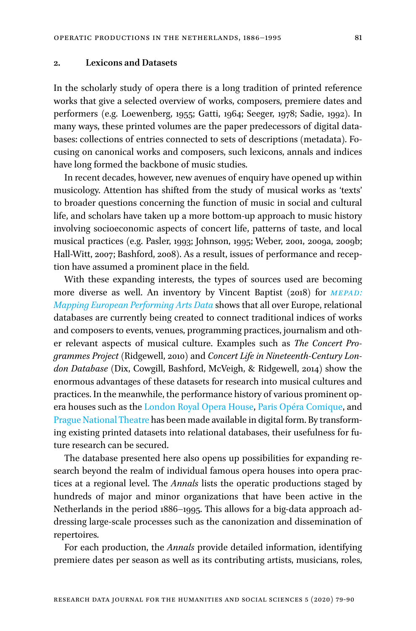#### **2. Lexicons and Datasets**

In the scholarly study of opera there is a long tradition of printed reference works that give a selected overview of works, composers, premiere dates and performers (e.g. [Loewenberg, 1955;](#page-11-1) [Gatti, 1964](#page-11-2); [Seeger, 1978](#page-12-0); [Sadie, 1992](#page-12-1)). In many ways, these printed volumes are the paper predecessors of digital databases: collections of entries connected to sets of descriptions (metadata). Focusing on canonical works and composers, such lexicons, annals and indices have long formed the backbone of music studies.

In recent decades, however, new avenues of enquiry have opened up within musicology. Attention has shifted from the study of musical works as 'texts' to broader questions concerning the function of music in social and cultural life, and scholars have taken up a more bottom-up approach to music history involving socioeconomic aspects of concert life, patterns of taste, and local musical practices (e.g. [Pasler, 1993;](#page-12-2) [Johnson, 1995;](#page-11-3) [Weber, 2001, 2009a, 2009b](#page-12-3); [Hall-Witt, 2007;](#page-11-4) [Bashford, 2008](#page-11-5)). As a result, issues of performance and reception have assumed a prominent place in the field.

With these expanding interests, the types of sources used are becoming more diverse as well. An inventory by Vincent [Baptist \(2018\)](#page-11-6) for *[MEPAD:](https://public.tableau.com/profile/v.baptist#!/vizhome/InventoryofEuropeanPerformingArtsDataProjects_0/InventoryofEuropeanPerformingArtsDataProjects)  [Mapping European Performing Arts Data](https://public.tableau.com/profile/v.baptist#!/vizhome/InventoryofEuropeanPerformingArtsDataProjects_0/InventoryofEuropeanPerformingArtsDataProjects)* shows that all over Europe, relational databases are currently being created to connect traditional indices of works and composers to events, venues, programming practices, journalism and other relevant aspects of musical culture. Examples such as *The Concert Programmes Project* ([Ridgewell, 2010](#page-12-4)) and *Concert Life in Nineteenth-Century London Database* (Dix, Cowgill, Bashford, McVeigh, & Ridgewell, 2014) show the enormous advantages of these datasets for research into musical cultures and practices. In the meanwhile, the performance history of various prominent opera houses such as the [London Royal Opera House](http://www.rohcollections.org.uk/Performances.aspx), [Paris Opéra Comique](https://dezede.org/dossiers/archives-opera-comique/data), and [Prague National Theatre](http://archiv.narodni-divadlo.cz/default.aspx?jz=cs%26dk=tituly_podlezanru.aspx%26pn=456affcc-f402-4000-aaff-c11223344aaa) has been made available in digital form. By transforming existing printed datasets into relational databases, their usefulness for future research can be secured.

The database presented here also opens up possibilities for expanding research beyond the realm of individual famous opera houses into opera practices at a regional level. The *Annals* lists the operatic productions staged by hundreds of major and minor organizations that have been active in the Netherlands in the period 1886–1995. This allows for a big-data approach addressing large-scale processes such as the canonization and dissemination of repertoires.

For each production, the *Annals* provide detailed information, identifying premiere dates per season as well as its contributing artists, musicians, roles,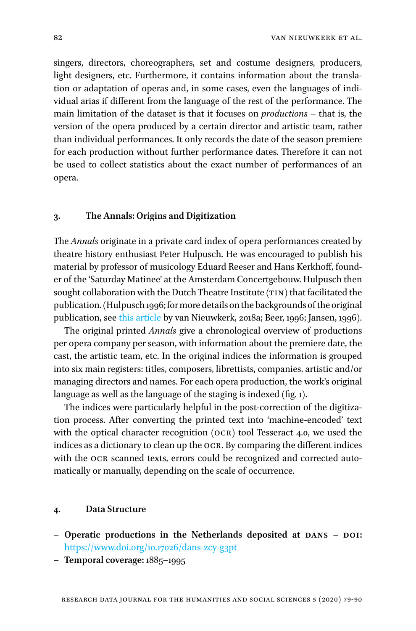singers, directors, choreographers, set and costume designers, producers, light designers, etc. Furthermore, it contains information about the translation or adaptation of operas and, in some cases, even the languages of individual arias if different from the language of the rest of the performance. The main limitation of the dataset is that it focuses on *productions* – that is, the version of the opera produced by a certain director and artistic team, rather than individual performances. It only records the date of the season premiere for each production without further performance dates. Therefore it can not be used to collect statistics about the exact number of performances of an opera.

#### **3. The Annals: Origins and Digitization**

The *Annals* originate in a private card index of opera performances created by theatre history enthusiast Peter Hulpusch. He was encouraged to publish his material by professor of musicology Eduard Reeser and Hans Kerkhoff, founder of the 'Saturday Matinee' at the Amsterdam Concertgebouw. Hulpusch then sought collaboration with the Dutch Theatre Institute (TIN) that facilitated the publication. [\(Hulpusch 1996;](#page-11-0) for more details on the backgrounds of the original publication, see [this article](https://www.create.humanities.uva.nl/blog/the-contentious-history-of-the-annals-of-dutch-opera) by [van Nieuwkerk, 2018a](#page-12-5); [Beer, 1996](#page-11-7); [Jansen, 1996\)](#page-11-8).

The original printed *Annals* give a chronological overview of productions per opera company per season, with information about the premiere date, the cast, the artistic team, etc. In the original indices the information is grouped into six main registers: titles, composers, librettists, companies, artistic and/or managing directors and names. For each opera production, the work's original language as well as the language of the staging is indexed [\(fig. 1](#page-5-0)).

The indices were particularly helpful in the post-correction of the digitization process. After converting the printed text into 'machine-encoded' text with the optical character recognition (OCR) tool Tesseract 4.0, we used the indices as a dictionary to clean up the ocr. By comparing the different indices with the OCR scanned texts, errors could be recognized and corrected automatically or manually, depending on the scale of occurrence.

#### **4. Data Structure**

- Operatic productions in the Netherlands deposited at DANS DOI: <https://www.doi.org/10.17026/dans-zcy-g3pt>
- **Temporal coverage:** 1885–1995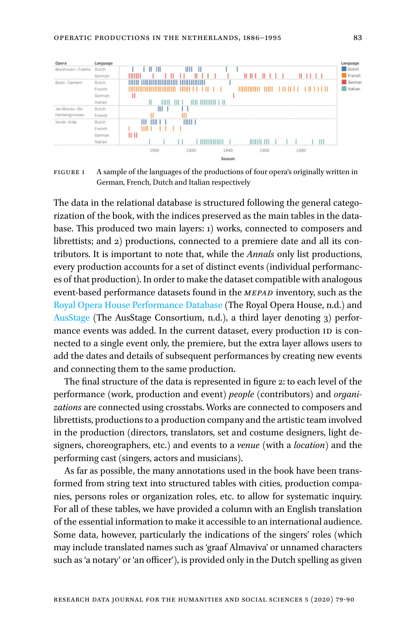<span id="page-5-0"></span>

FIGURE 1 A sample of the languages of the productions of four opera's originally written in German, French, Dutch and Italian respectively

The data in the relational database is structured following the general categorization of the book, with the indices preserved as the main tables in the database. This produced two main layers: 1) works, connected to composers and librettists; and 2) productions, connected to a premiere date and all its contributors. It is important to note that, while the *Annals* only list productions, every production accounts for a set of distinct events (individual performances of that production). In order to make the dataset compatible with analogous event-based performance datasets found in the *MEPAD* inventory, such as the [Royal Opera House Performance Database](http://www.rohcollections.org.uk/Performances.aspx) (The Royal Opera House, n.d.) and [AusStage](https://www.ausstage.edu.au/pages/learn/about/data-models.html) (The AusStage Consortium, n.d.), a third layer denoting 3) performance events was added. In the current dataset, every production ID is connected to a single event only, the premiere, but the extra layer allows users to add the dates and details of subsequent performances by creating new events and connecting them to the same production.

The final structure of the data is represented in [figure 2:](#page-6-0) to each level of the performance (work, production and event) *people* (contributors) and *organizations* are connected using crosstabs. Works are connected to composers and librettists, productions to a production company and the artistic team involved in the production (directors, translators, set and costume designers, light designers, choreographers, etc.) and events to a *venue* (with a *location*) and the performing cast (singers, actors and musicians).

As far as possible, the many annotations used in the book have been transformed from string text into structured tables with cities, production companies, persons roles or organization roles, etc. to allow for systematic inquiry. For all of these tables, we have provided a column with an English translation of the essential information to make it accessible to an international audience. Some data, however, particularly the indications of the singers' roles (which may include translated names such as 'graaf Almaviva' or unnamed characters such as 'a notary' or 'an officer'), is provided only in the Dutch spelling as given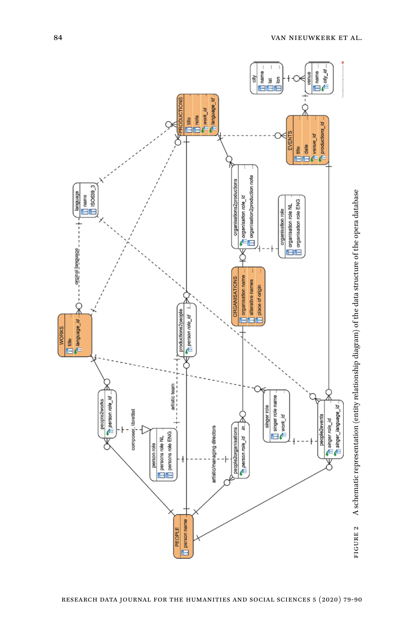<span id="page-6-0"></span>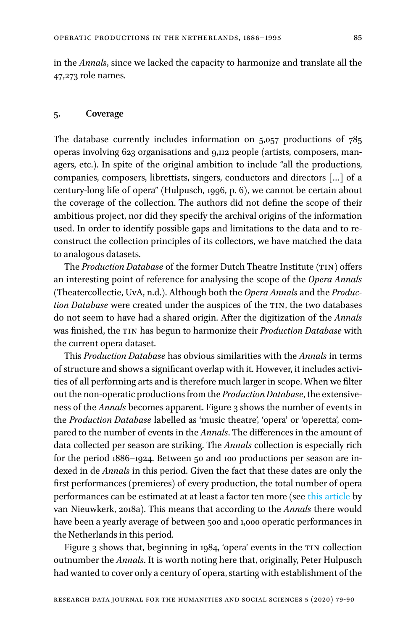in the *Annals*, since we lacked the capacity to harmonize and translate all the 47,273 role names.

#### **5. Coverage**

The database currently includes information on 5,057 productions of 785 operas involving 623 organisations and 9,112 people (artists, composers, managers, etc.). In spite of the original ambition to include "all the productions, companies, composers, librettists, singers, conductors and directors […] of a century-long life of opera" ([Hulpusch, 1996,](#page-11-0) p. 6), we cannot be certain about the coverage of the collection. The authors did not define the scope of their ambitious project, nor did they specify the archival origins of the information used. In order to identify possible gaps and limitations to the data and to reconstruct the collection principles of its collectors, we have matched the data to analogous datasets.

The *Production Database* of the former Dutch Theatre Institute (TIN) offers an interesting point of reference for analysing the scope of the *Opera Annals* (Theatercollectie, UvA, n.d.). Although both the *Opera Annals* and the *Production Database* were created under the auspices of the TIN, the two databases do not seem to have had a shared origin. After the digitization of the *Annals* was finished, the tin has begun to harmonize their *Production Database* with the current opera dataset.

This *Production Database* has obvious similarities with the *Annals* in terms of structure and shows a significant overlap with it. However, it includes activities of all performing arts and is therefore much larger in scope. When we filter out the non-operatic productions from the *Production Database*, the extensiveness of the *Annals* becomes apparent. [Figure 3](#page-8-0) shows the number of events in the *Production Database* labelled as 'music theatre', 'opera' or 'operetta', compared to the number of events in the *Annals*. The differences in the amount of data collected per season are striking. The *Annals* collection is especially rich for the period 1886–1924. Between 50 and 100 productions per season are indexed in de *Annals* in this period. Given the fact that these dates are only the first performances (premieres) of every production, the total number of opera performances can be estimated at at least a factor ten more (see this [article](https://www.create.humanities.uva.nl/blog/the-contentious-history-of-the-annals-of-dutch-opera) by [van Nieuwkerk, 2018a](#page-12-5)). This means that according to the *Annals* there would have been a yearly average of between 500 and 1,000 operatic performances in the Netherlands in this period.

[Figure 3](#page-8-0) shows that, beginning in 1984, 'opera' events in the TIN collection outnumber the *Annals*. It is worth noting here that, originally, Peter Hulpusch had wanted to cover only a century of opera, starting with establishment of the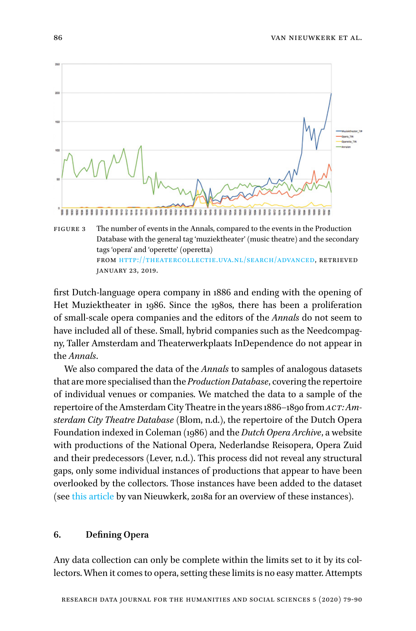<span id="page-8-0"></span>

from [http://theatercollectie.uva.nl/search/advanced,](http://theatercollectie.uva.nl/search/advanced) retrieved january 23, 2019.

first Dutch-language opera company in 1886 and ending with the opening of Het Muziektheater in 1986. Since the 1980s, there has been a proliferation of small-scale opera companies and the editors of the *Annals* do not seem to have included all of these. Small, hybrid companies such as the Needcompagny, Taller Amsterdam and Theaterwerkplaats InDependence do not appear in the *Annals*.

We also compared the data of the *Annals* to samples of analogous datasets that are more specialised than the *Production Database*, covering the repertoire of individual venues or companies. We matched the data to a sample of the repertoire of the Amsterdam City Theatre in the years 1886–1890 from *act: Amsterdam City Theatre Database* (Blom, n.d.), the repertoire of the Dutch Opera Foundation indexed in [Coleman \(1986\)](#page-11-9) and the *Dutch Opera Archive*, a website with productions of the National Opera, Nederlandse Reisopera, Opera Zuid and their predecessors (Lever, n.d.). This process did not reveal any structural gaps, only some individual instances of productions that appear to have been overlooked by the collectors. Those instances have been added to the dataset (see this [article](https://www.create.humanities.uva.nl/blog/the-contentious-history-of-the-annals-of-dutch-opera) by van [Nieuwkerk, 2018a](#page-12-5) for an overview of these instances).

#### **6. Defining Opera**

Any data collection can only be complete within the limits set to it by its collectors. When it comes to opera, setting these limits is no easy matter. Attempts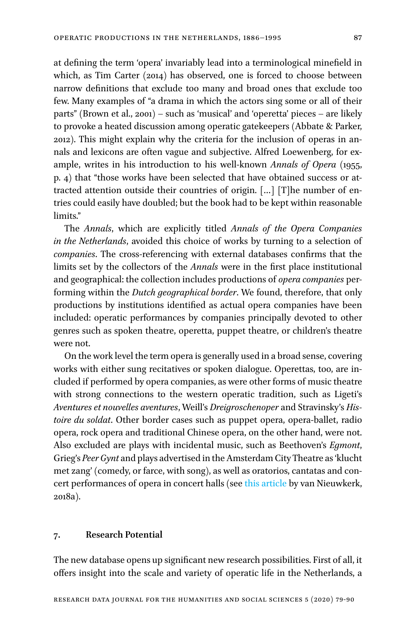at defining the term 'opera' invariably lead into a terminological minefield in which, as Tim [Carter \(2014\)](#page-11-10) has observed, one is forced to choose between narrow definitions that exclude too many and broad ones that exclude too few. Many examples of "a drama in which the actors sing some or all of their parts" [\(Brown et al., 2001\)](#page-11-11) – such as 'musical' and 'operetta' pieces – are likely to provoke a heated discussion among operatic gatekeepers ([Abbate & Parker,](#page-10-0)  [2012](#page-10-0)). This might explain why the criteria for the inclusion of operas in annals and lexicons are often vague and subjective. Alfred Loewenberg, for example, writes in his introduction to his well-known *Annals of Opera* (1955, p. 4) that "those works have been selected that have obtained success or attracted attention outside their countries of origin. […] [T]he number of entries could easily have doubled; but the book had to be kept within reasonable limits."

The *Annals*, which are explicitly titled *Annals of the Opera Companies in the Netherlands*, avoided this choice of works by turning to a selection of *companies*. The cross-referencing with external databases confirms that the limits set by the collectors of the *Annals* were in the first place institutional and geographical: the collection includes productions of *opera companies* performing within the *Dutch geographical border*. We found, therefore, that only productions by institutions identified as actual opera companies have been included: operatic performances by companies principally devoted to other genres such as spoken theatre, operetta, puppet theatre, or children's theatre were not.

On the work level the term opera is generally used in a broad sense, covering works with either sung recitatives or spoken dialogue. Operettas, too, are included if performed by opera companies, as were other forms of music theatre with strong connections to the western operatic tradition, such as Ligeti's *Aventures et nouvelles aventures*, Weill's *Dreigroschenoper* and Stravinsky's *Histoire du soldat*. Other border cases such as puppet opera, opera-ballet, radio opera, rock opera and traditional Chinese opera, on the other hand, were not. Also excluded are plays with incidental music, such as Beethoven's *Egmont*, Grieg's *Peer Gynt* and plays advertised in the Amsterdam City Theatre as 'klucht met zang' (comedy, or farce, with song), as well as oratorios, cantatas and concert performances of opera in concert halls (see this [article](https://www.create.humanities.uva.nl/blog/the-contentious-history-of-the-annals-of-dutch-opera) by [van Nieuwkerk,](#page-12-5)  [2018a](#page-12-5)).

#### **7. Research Potential**

The new database opens up significant new research possibilities. First of all, it offers insight into the scale and variety of operatic life in the Netherlands, a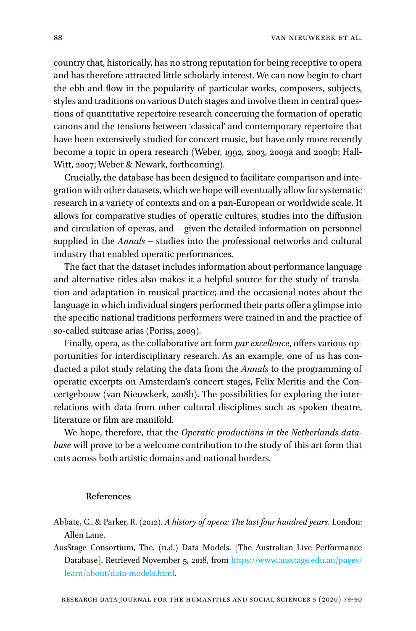country that, historically, has no strong reputation for being receptive to opera and has therefore attracted little scholarly interest. We can now begin to chart the ebb and flow in the popularity of particular works, composers, subjects, styles and traditions on various Dutch stages and involve them in central questions of quantitative repertoire research concerning the formation of operatic canons and the tensions between 'classical' and contemporary repertoire that have been extensively studied for concert music, but have only more recently become a topic in opera research ([Weber, 1992, 2003, 2009a](#page-12-6) and 2009b; [Hall-](#page-11-4)[Witt, 2007](#page-11-4); [Weber & Newark, forthcoming\)](#page-12-7).

Crucially, the database has been designed to facilitate comparison and integration with other datasets, which we hope will eventually allow for systematic research in a variety of contexts and on a pan-European or worldwide scale. It allows for comparative studies of operatic cultures, studies into the diffusion and circulation of operas, and – given the detailed information on personnel supplied in the *Annals* – studies into the professional networks and cultural industry that enabled operatic performances.

The fact that the dataset includes information about performance language and alternative titles also makes it a helpful source for the study of translation and adaptation in musical practice; and the occasional notes about the language in which individual singers performed their parts offer a glimpse into the specific national traditions performers were trained in and the practice of so-called suitcase arias ([Poriss, 2009\)](#page-12-8).

Finally, opera, as the collaborative art form *par excellence*, offers various opportunities for interdisciplinary research. As an example, one of us has conducted a pilot study relating the data from the *Annals* to the programming of operatic excerpts on Amsterdam's concert stages, Felix Meritis and the Concertgebouw (van [Nieuwkerk, 2018b\)](#page-12-9). The possibilities for exploring the interrelations with data from other cultural disciplines such as spoken theatre, literature or film are manifold.

We hope, therefore, that the *Operatic productions in the Netherlands database* will prove to be a welcome contribution to the study of this art form that cuts across both artistic domains and national borders.

#### **References**

- <span id="page-10-0"></span>Abbate, C., & Parker, R. (2012). *A history of opera: The last four hundred years*. London: Allen Lane.
- AusStage Consortium, The. (n.d.) Data Models. [The Australian Live Performance Database]. Retrieved November 5, 2018, from [https://www.ausstage.edu.au/pages/](https://www.ausstage.edu.au/pages/learn/about/data-models.html) [learn/about/data-models.html](https://www.ausstage.edu.au/pages/learn/about/data-models.html).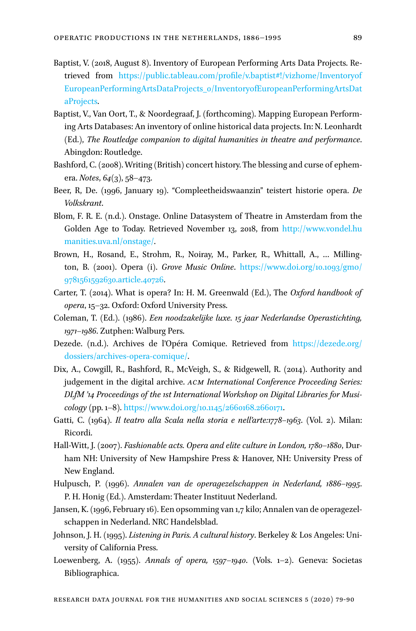- <span id="page-11-6"></span>Baptist, V. (2018, August 8). Inventory of European Performing Arts Data Projects. Retrieved from [https://public.tableau.com/profile/v.baptist#!/vizhome/Inventoryof](https://public.tableau.com/profile/v.baptist#!/vizhome/InventoryofEuropeanPerformingArtsDataProjects_0/InventoryofEuropeanPerformingArtsDataProjects) [EuropeanPerformingArtsDataProjects\\_0/InventoryofEuropeanPerformingArtsDat](https://public.tableau.com/profile/v.baptist#!/vizhome/InventoryofEuropeanPerformingArtsDataProjects_0/InventoryofEuropeanPerformingArtsDataProjects) [aProjects.](https://public.tableau.com/profile/v.baptist#!/vizhome/InventoryofEuropeanPerformingArtsDataProjects_0/InventoryofEuropeanPerformingArtsDataProjects)
- Baptist, V., Van Oort, T., & Noordegraaf, J. (forthcoming). Mapping European Performing Arts Databases: An inventory of online historical data projects. In: N. Leonhardt (Ed.), *The Routledge companion to digital humanities in theatre and performance*. Abingdon: Routledge.
- <span id="page-11-5"></span>Bashford, C. (2008). Writing (British) concert history. The blessing and curse of ephemera. *Notes*, *64*(3), 58–473.
- <span id="page-11-7"></span>Beer, R, De. (1996, January 19). "Compleetheidswaanzin" teistert historie opera. *De Volkskrant*.
- Blom, F. R. E. (n.d.). Onstage. Online Datasystem of Theatre in Amsterdam from the Golden Age to Today. Retrieved November 13, 2018, from [http://www.vondel.hu](http://www.vondel.humanities.uva.nl/onstage/) [manities.uva.nl/onstage/.](http://www.vondel.humanities.uva.nl/onstage/)
- <span id="page-11-11"></span>Brown, H., Rosand, E., Strohm, R., Noiray, M., Parker, R., Whittall, A., … Millington, B. (2001). Opera (i). *Grove Music Online*. [https://www.doi.org/10.1093/gmo/](https://www.doi.org/10.1093/gmo/9781561592630.article.40726) [9781561592630.article.40726](https://www.doi.org/10.1093/gmo/9781561592630.article.40726).
- <span id="page-11-10"></span>Carter, T. (2014). What is opera? In: H. M. Greenwald (Ed.), The *Oxford handbook of opera*, 15–32. Oxford: Oxford University Press.
- <span id="page-11-9"></span>Coleman, T. (Ed.). (1986). *Een noodzakelijke luxe. 15 jaar Nederlandse Operastichting, 1971–1986*. Zutphen: Walburg Pers.
- Dezede. (n.d.). Archives de l'Opéra Comique. Retrieved from [https://dezede.org/](https://dezede.org/dossiers/archives-opera-comique/) [dossiers/archives-opera-comique/](https://dezede.org/dossiers/archives-opera-comique/).
- Dix, A., Cowgill, R., Bashford, R., McVeigh, S., & Ridgewell, R. (2014). Authority and judgement in the digital archive. *acm International Conference Proceeding Series: DLfM '14 Proceedings of the 1st International Workshop on Digital Libraries for Musicology* (pp. 1–8). <https://www.doi.org/10.1145/2660168.2660171>.
- <span id="page-11-2"></span>Gatti, C. (1964). *Il teatro alla Scala nella storia e nell'arte:1778–1963*. (Vol. 2). Milan: Ricordi.
- <span id="page-11-4"></span>Hall-Witt, J. (2007). *Fashionable acts. Opera and elite culture in London, 1780–1880*, Durham NH: University of New Hampshire Press & Hanover, NH: University Press of New England.
- <span id="page-11-0"></span>Hulpusch, P. (1996). *Annalen van de operagezelschappen in Nederland, 1886–1995*. P. H. Honig (Ed.). Amsterdam: Theater Instituut Nederland.
- <span id="page-11-8"></span>Jansen, K. (1996, February 16). Een opsomming van 1,7 kilo; Annalen van de operagezelschappen in Nederland. NRC Handelsblad.
- <span id="page-11-3"></span>Johnson, J. H. (1995). *Listening in Paris. A cultural history*. Berkeley & Los Angeles: University of California Press.
- <span id="page-11-1"></span>Loewenberg, A. (1955). *Annals of opera, 1597–1940*. (Vols. 1–2). Geneva: Societas Bibliographica.